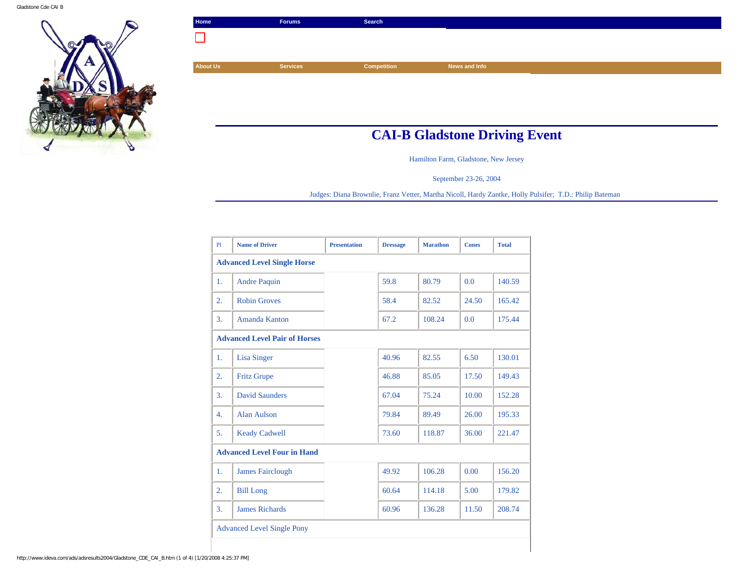

| Home            | <b>Forums</b>   | Search             |               |  |
|-----------------|-----------------|--------------------|---------------|--|
|                 |                 |                    |               |  |
|                 |                 |                    |               |  |
| <b>About Us</b> | <b>Services</b> | <b>Competition</b> | News and Info |  |

## **CAI-B Gladstone Driving Event**

Hamilton Farm, Gladstone, New Jersey

September 23-26, 2004

Judges: Diana Brownlie, Franz Vetter, Martha Nicoll, Hardy Zantke, Holly Pulsifer; T.D.: Philip Bateman

| PI                                   | <b>Name of Driver</b>   | <b>Presentation</b> | <b>Dressage</b> | <b>Marathon</b> | <b>Cones</b> | <b>Total</b> |  |
|--------------------------------------|-------------------------|---------------------|-----------------|-----------------|--------------|--------------|--|
| <b>Advanced Level Single Horse</b>   |                         |                     |                 |                 |              |              |  |
| 1.                                   | <b>Andre Paquin</b>     |                     | 59.8            | 80.79           | 0.0          | 140.59       |  |
| 2.                                   | <b>Robin Groves</b>     |                     | 58.4            | 82.52           | 24.50        | 165.42       |  |
| 3.                                   | Amanda Kanton           |                     | 67.2            | 108.24          | 0.0          | 175.44       |  |
| <b>Advanced Level Pair of Horses</b> |                         |                     |                 |                 |              |              |  |
| 1.                                   | Lisa Singer             |                     | 40.96           | 82.55           | 6.50         | 130.01       |  |
| 2.                                   | <b>Fritz Grupe</b>      |                     | 46.88           | 85.05           | 17.50        | 149.43       |  |
| 3.                                   | <b>David Saunders</b>   |                     | 67.04           | 75.24           | 10.00        | 152.28       |  |
| 4.                                   | <b>Alan Aulson</b>      |                     | 79.84           | 89.49           | 26.00        | 195.33       |  |
| 5.                                   | <b>Keady Cadwell</b>    |                     | 73.60           | 118.87          | 36.00        | 221.47       |  |
| <b>Advanced Level Four in Hand</b>   |                         |                     |                 |                 |              |              |  |
| 1.                                   | <b>James Fairclough</b> |                     | 49.92           | 106.28          | 0.00         | 156.20       |  |
| 2.                                   | <b>Bill Long</b>        |                     | 60.64           | 114.18          | 5.00         | 179.82       |  |
| 3.                                   | <b>James Richards</b>   |                     | 60.96           | 136.28          | 11.50        | 208.74       |  |
| <b>Advanced Level Single Pony</b>    |                         |                     |                 |                 |              |              |  |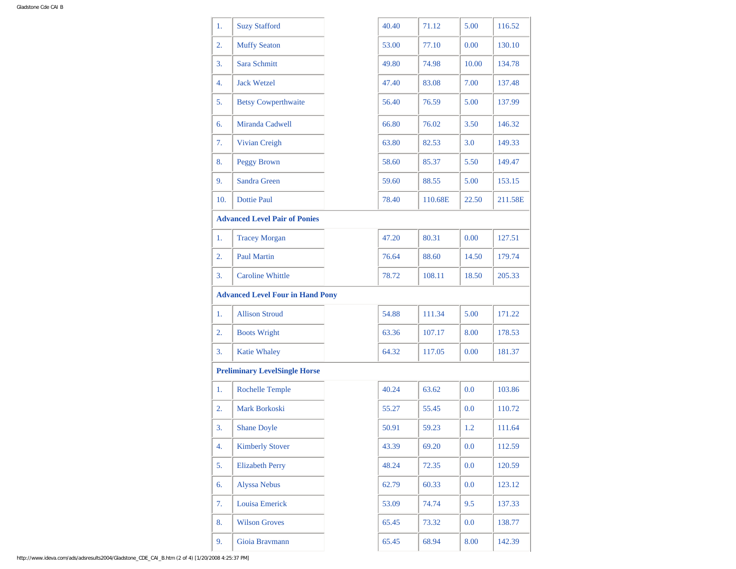| 1.  | <b>Suzy Stafford</b>                    |  | 40.40 | 71.12   | 5.00  | 116.52  |  |
|-----|-----------------------------------------|--|-------|---------|-------|---------|--|
| 2.  | <b>Muffy Seaton</b>                     |  | 53.00 | 77.10   | 0.00  | 130.10  |  |
| 3.  | Sara Schmitt                            |  | 49.80 | 74.98   | 10.00 | 134.78  |  |
| 4.  | <b>Jack Wetzel</b>                      |  | 47.40 | 83.08   | 7.00  | 137.48  |  |
| 5.  | <b>Betsy Cowperthwaite</b>              |  | 56.40 | 76.59   | 5.00  | 137.99  |  |
| 6.  | Miranda Cadwell                         |  | 66.80 | 76.02   | 3.50  | 146.32  |  |
| 7.  | Vivian Creigh                           |  | 63.80 | 82.53   | 3.0   | 149.33  |  |
| 8.  | <b>Peggy Brown</b>                      |  | 58.60 | 85.37   | 5.50  | 149.47  |  |
| 9.  | <b>Sandra Green</b>                     |  | 59.60 | 88.55   | 5.00  | 153.15  |  |
| 10. | Dottie Paul                             |  | 78.40 | 110.68E | 22.50 | 211.58E |  |
|     | <b>Advanced Level Pair of Ponies</b>    |  |       |         |       |         |  |
| 1.  | <b>Tracey Morgan</b>                    |  | 47.20 | 80.31   | 0.00  | 127.51  |  |
| 2.  | <b>Paul Martin</b>                      |  | 76.64 | 88.60   | 14.50 | 179.74  |  |
| 3.  | <b>Caroline Whittle</b>                 |  | 78.72 | 108.11  | 18.50 | 205.33  |  |
|     | <b>Advanced Level Four in Hand Pony</b> |  |       |         |       |         |  |
| 1.  | <b>Allison Stroud</b>                   |  | 54.88 | 111.34  | 5.00  | 171.22  |  |
| 2.  | <b>Boots Wright</b>                     |  | 63.36 | 107.17  | 8.00  | 178.53  |  |
| 3.  | <b>Katie Whaley</b>                     |  | 64.32 | 117.05  | 0.00  | 181.37  |  |
|     | <b>Preliminary LevelSingle Horse</b>    |  |       |         |       |         |  |
| 1.  | <b>Rochelle Temple</b>                  |  | 40.24 | 63.62   | 0.0   | 103.86  |  |
| 2.  | <b>Mark Borkoski</b>                    |  | 55.27 | 55.45   | 0.0   | 110.72  |  |
| 3.  | <b>Shane Doyle</b>                      |  | 50.91 | 59.23   | 1.2   | 111.64  |  |
| 4.  | <b>Kimberly Stover</b>                  |  | 43.39 | 69.20   | 0.0   | 112.59  |  |
| 5.  | <b>Elizabeth Perry</b>                  |  | 48.24 | 72.35   | 0.0   | 120.59  |  |
| 6.  | <b>Alyssa Nebus</b>                     |  | 62.79 | 60.33   | 0.0   | 123.12  |  |
| 7.  | Louisa Emerick                          |  | 53.09 | 74.74   | 9.5   | 137.33  |  |
| 8.  | <b>Wilson Groves</b>                    |  | 65.45 | 73.32   | 0.0   | 138.77  |  |
| 9.  | Gioia Bravmann                          |  | 65.45 | 68.94   | 8.00  | 142.39  |  |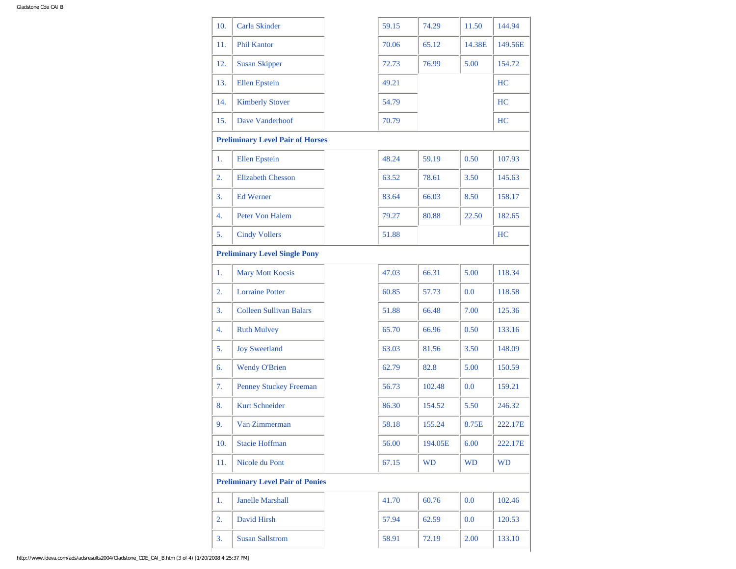| 10.                                     | Carla Skinder                  |  | 59.15 | 74.29     | 11.50     | 144.94    |  |
|-----------------------------------------|--------------------------------|--|-------|-----------|-----------|-----------|--|
| 11.                                     | <b>Phil Kantor</b>             |  | 70.06 | 65.12     | 14.38E    | 149.56E   |  |
| 12.                                     | <b>Susan Skipper</b>           |  | 72.73 | 76.99     | 5.00      | 154.72    |  |
| 13.                                     | <b>Ellen</b> Epstein           |  | 49.21 |           |           | HC        |  |
| 14.                                     | <b>Kimberly Stover</b>         |  | 54.79 |           |           | HC        |  |
| 15.                                     | Dave Vanderhoof                |  | 70.79 |           |           | HC        |  |
| <b>Preliminary Level Pair of Horses</b> |                                |  |       |           |           |           |  |
| 1.                                      | <b>Ellen</b> Epstein           |  | 48.24 | 59.19     | 0.50      | 107.93    |  |
| 2.                                      | <b>Elizabeth Chesson</b>       |  | 63.52 | 78.61     | 3.50      | 145.63    |  |
| 3.                                      | <b>Ed Werner</b>               |  | 83.64 | 66.03     | 8.50      | 158.17    |  |
| 4.                                      | <b>Peter Von Halem</b>         |  | 79.27 | 80.88     | 22.50     | 182.65    |  |
| 5.                                      | <b>Cindy Vollers</b>           |  | 51.88 |           |           | HC        |  |
| <b>Preliminary Level Single Pony</b>    |                                |  |       |           |           |           |  |
| 1.                                      | <b>Mary Mott Kocsis</b>        |  | 47.03 | 66.31     | 5.00      | 118.34    |  |
| 2.                                      | <b>Lorraine Potter</b>         |  | 60.85 | 57.73     | 0.0       | 118.58    |  |
| 3.                                      | <b>Colleen Sullivan Balars</b> |  | 51.88 | 66.48     | 7.00      | 125.36    |  |
| 4.                                      | <b>Ruth Mulvey</b>             |  | 65.70 | 66.96     | 0.50      | 133.16    |  |
| 5.                                      | <b>Joy Sweetland</b>           |  | 63.03 | 81.56     | 3.50      | 148.09    |  |
| 6.                                      | <b>Wendy O'Brien</b>           |  | 62.79 | 82.8      | 5.00      | 150.59    |  |
| 7.                                      | Penney Stuckey Freeman         |  | 56.73 | 102.48    | 0.0       | 159.21    |  |
| 8.                                      | <b>Kurt Schneider</b>          |  | 86.30 | 154.52    | 5.50      | 246.32    |  |
| 9.                                      | Van Zimmerman                  |  | 58.18 | 155.24    | 8.75E     | 222.17E   |  |
| 10.                                     | <b>Stacie Hoffman</b>          |  | 56.00 | 194.05E   | 6.00      | 222.17E   |  |
| 11.                                     | Nicole du Pont                 |  | 67.15 | <b>WD</b> | <b>WD</b> | <b>WD</b> |  |
| <b>Preliminary Level Pair of Ponies</b> |                                |  |       |           |           |           |  |
| 1.                                      | <b>Janelle Marshall</b>        |  | 41.70 | 60.76     | $0.0\,$   | 102.46    |  |
| 2.                                      | David Hirsh                    |  | 57.94 | 62.59     | 0.0       | 120.53    |  |
| 3.                                      | <b>Susan Sallstrom</b>         |  | 58.91 | 72.19     | 2.00      | 133.10    |  |